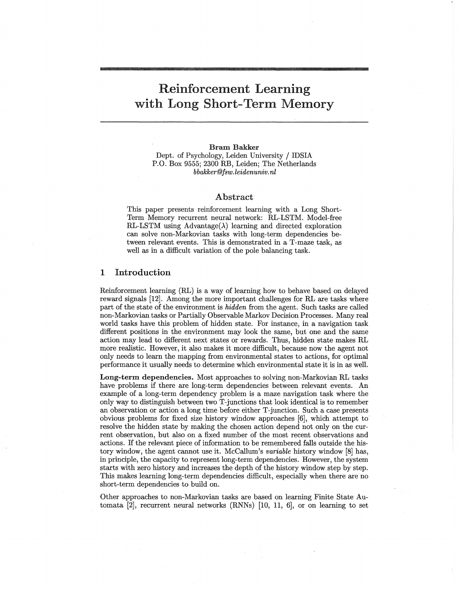# Reinforcement Learning with Long Short-Term Memory

Bram Bakker Dept. of Psychology, Leiden University / IDSIA P.O. Box 9555; 2300 RB, Leiden; The Netherlands *bbakker@fsw.leidenuniv.nl*

#### Abstract

This paper presents reinforcement learning with a Long Short-Term Memory recurrent neural network: RL-LSTM. Model-free RL-LSTM using Advantage( $\lambda$ ) learning and directed exploration can solve non-Markovian tasks with long-term dependencies between relevant events. This is demonstrated in a T-maze task, as well as in a difficult variation of the pole balancing task.

### 1 Introduction

Reinforcement learning (RL) is a way of learning how to behave based on delayed reward signals [12]. Among the more important challenges for RL are tasks where part of the state of the environment is *hidden* from the agent. Such tasks are called non-Markovian tasks or Partially Observable Markov Decision Processes. Many real world tasks have this problem of hidden state. For instance, in a navigation task different positions in the environment may look the same, but one and the same action may lead to different next states or rewards. Thus, hidden state makes RL more realistic. However, it also makes it more difficult, because now the agent not only needs to learn the mapping from environmental states to actions, for optimal performance it usually needs to determine which environmental state it is in as well.

Long-term dependencies. Most approaches to solving non-Markovian RL tasks have problems if there are long-term dependencies between relevant events. An example of a long-term dependency problem is a maze navigation task where the only way to distinguish between two T-junctions that look identical is to remember an observation or action a long time before either T-junction. Such a case presents obvious problems for fixed size history window approaches [6], which attempt toresolve the hidden state by making the chosen action depend not only on the current observation, but also on a fixed number of the most recent observations and actions. If the relevant piece of information to be remembered falls outside the history window, the agent cannot use it. McCallum's *variable* history window [8] has, in principle, the capacity to represent long-term dependencies. However, the system starts with zero history and increases the depth of the history window step by step. This makes learning long-term dependencies difficult, especially when there are no short-term dependencies to build on.

Other approaches to non-Markovian tasks are based on learning Finite State Automata [2], recurrent neural networks (RNNs) [10, 11, 6], or on learning to set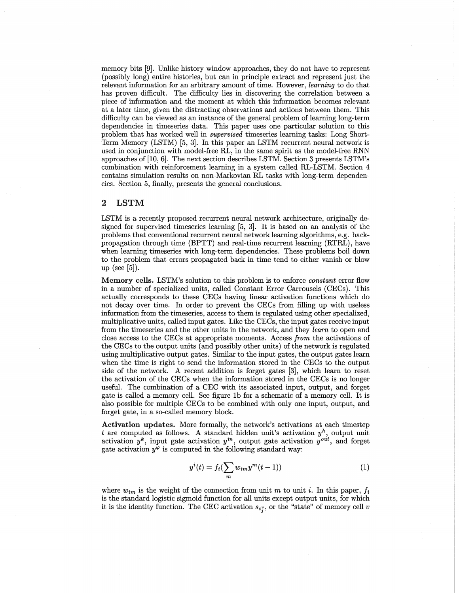memory bits [9]. Unlike history window approaches, they do not have to represent (possibly long) entire histories, but can in principle extract and represent just the relevant information for an arbitrary amount of time. However, *learning* to do that has proven difficult. The difficulty lies in discovering the correlation between a piece of information and the moment at which this information becomes relevant at a later time, given the distracting observations and actions between them. This difficulty can be viewed as an instance of the general problem of learning long-term dependencies in timeseries data. This paper uses one particular solution to this problem that has worked well in *supervised* timeseries learning tasks: Long Short-Term Memory (LSTM) [5, 3]. In this paper an LSTM recurrent neural network is used in conjunction with model-free RL, in the same spirit as the model-free RNN approaches of [10,6]. The next section describes LSTM. Section 3 presents LSTM's combination with reinforcement learning in a system called RL-LSTM. Section 4 contains simulation results on non-Markovian RL tasks with long-term dependencies. Section 5, finally, presents the general conclusions.

#### 2 LSTM

LSTM is a recently proposed recurrent neural network architecture, originally designed for supervised timeseries learning [5, 3]. It is based on an analysis of the problems that conventional recurrent neural network learning algorithms, e.g. backpropagation through time (BPTT) and real-time recurrent learning (RTRL), have when learning timeseries with long-term dependencies. These problems boil down to the problem that errors propagated back in time tend to either vanish or blow up (see [5]).

Memory cells. LSTM's solution to this problem is to enforce *constant* error flow in a number of specialized units, called Constant Error Carrousels (CECs). This actually corresponds to these CECs having linear activation functions which do not decay over time. In order to prevent the CECs from filling up with useless information from the timeseries, access to them is regulated using other specialized, multiplicative units, called input gates. Like the CECs, the input gates receive input. from the timeseries and the other units in the network, and they *learn* to open and close access to the CECs at appropriate moments. Access *from* the activations of the CECs to the output units (and possibly other units) of the network is regulated using multiplicative output gates. Similar to the input gates, the output gates learn when the time is right to send the information stored in the CECs to the output side of the network. A recent addition is forget gates [3], which learn to reset the activation of the CECs when the information stored in the CECs is no longer useful. The combination of a CEC with its associated input, output, and forget gate is called a memory cell. See figure 1b for a schematic of a memory cell. It is also possible for multiple CECs to be combined with only one input, output, and forget gate, in a so-called memory block.

Activation updates. More formally, the network's activations at each timestep *t* are computed as follows. A standard hidden unit's activation  $y<sup>h</sup>$ , output unit activation  $y^k$ , input gate activation  $y^{in}$ , output gate activation  $y^{out}$ , and forget gate activation  $y^{\varphi}$  is computed in the following standard way:

$$
y^{i}(t) = f_{i}(\sum_{m} w_{im}y^{m}(t-1))
$$
\n(1)

*:J*

where  $w_{im}$  is the weight of the connection from unit m to unit i. In this paper,  $f_i$ is the standard logistic sigmoid function for all units except output units, for which it is the identity function. The CEC activation  $s_{c_i}$ , or the "state" of memory cell v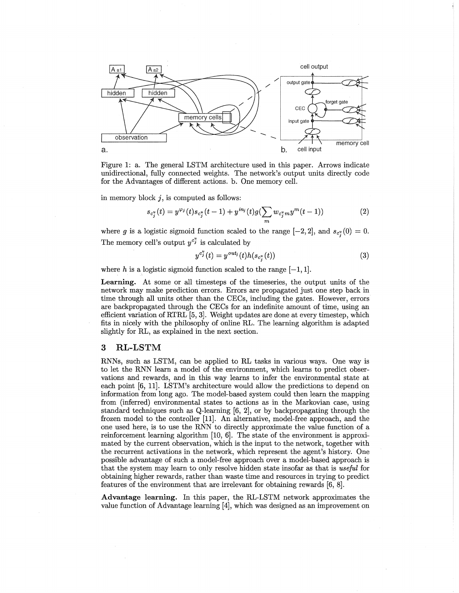

Figure 1: a. The general LSTM architecture used in this paper. Arrows indicate unidirectional, fully connected weights. The network's output units directly code for the Advantages of different actions. b. One memory cell.

in memory block  $j$ , is computed as follows:

$$
s_{c_j^v}(t) = y^{\varphi_j}(t) s_{c_j^v}(t-1) + y^{in_j}(t) g(\sum_m w_{c_j^v m} y^m(t-1))
$$
\n(2)

where g is a logistic sigmoid function scaled to the range  $[-2, 2]$ , and  $s_{c}$ <sup> $\!$ </sup> $(0) = 0$ . The memory cell's output  $y^{c_j}$  is calculated by

$$
y^{c_j^v}(t) = y^{out_j}(t)h(s_{c_j^v}(t))
$$
\n(3)

where h is a logistic sigmoid function scaled to the range  $[-1, 1]$ .

Learning. At some or all timesteps of the timeseries, the output units of the network may make prediction errors. Errors are propagated just one step back in time through all units other than the CECs, including the gates. However, errors are backpropagated through the CECs for an indefinite amount of time, using an efficient variation of RTRL [5, 3J. Weight updates are done at every timestep, which fits in nicely with the philosophy of online RL. The learning algorithm is adapted slightly for RL, as explained in the next section.

## 3 RL-LSTM

RNNs, such as LSTM, can be applied to RL tasks in various ways. One way is to let the RNN learn a model of the environment, which learns to predict observations and rewards, and in this way learns to infer the environmental state at each point [6, IIJ. LSTM's architecture would allow the predictions to depend on information from long ago. The model-based system could then learn the mapping from (inferred) environmental states to actions as in the Markovian case, using standard techniques such as  $Q$ -learning  $[6, 2]$ , or by backpropagating through the frozen model to the controller [IIJ. An alternative, model-free approach, and the one used here, is to use the RNN to directly approximate the value function of a reinforcement learning algorithm [10, 6]. The state of the environment is approximated by the current observation, which is the input to the network, together with the recurrent activations in the network, which represent the agent's history. One possible advantage of such a model-free approach over a model-based approach is that the system may learn to only resolve hidden state insofar as that is *useful* for obtaining higher rewards, rather than waste time and resources in trying to predict features of the environment that are irrelevant for obtaining rewards [6, 8].

Advantage learning. In this paper, the RL-LSTM network approximates the value function of Advantage learning [4], which was designed as, an improvement on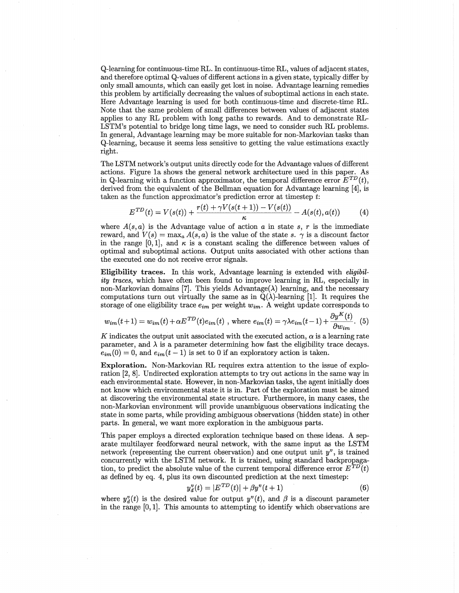Q-Iearning for continuous-time RL. In continuous-time RL, values of adjacent states, and therefore optimal Q-values of different actions in a given state, typically differ by only small amounts, which can easily get lost in noise. Advantage learning remedies this problem by artificially decreasing the values of suboptimal actions in each state. Here Advantage learning is used for both continuous-time and discrete-time RL. Note that the same problem of small differences between values of adjacent states applies to any RL problem with long paths to rewards. And to demonstrate RL-LSTM's potential to bridge long time lags, we need to consider such RL problems. In general, Advantage learning may be more suitable for non-Markovian tasks than Q-Iearning, because it seems less sensitive to getting the value estimations exactly right.

The LSTM network's output units directly code for the Advantage values of different actions. Figure 1a shows the general network architecture used in this paper. As in Q-learning with a function approximator, the temporal difference error  $E^{TD}(t)$ , derived from the equivalent of the Bellman equation for Advantage learning [4], is taken as the function approximator's prediction error at timestep t:

$$
E^{TD}(t) = V(s(t)) + \frac{r(t) + \gamma V(s(t+1)) - V(s(t))}{\kappa} - A(s(t), a(t))
$$
 (4)

where  $A(s, a)$  is the Advantage value of action a in state  $s, r$  is the immediate reward, and  $V(s) = \max_a A(s, a)$  is the value of the state s.  $\gamma$  is a discount factor in the range [0,1], and  $\kappa$  is a constant scaling the difference between values of optimal and suboptimal actions. Output units associated with other actions than the executed one do not receive error signals.

Eligibility traces. In this work, Advantage learning is extended with *eligibility traces,* which have often been found to improve learning in RL, especially in non-Markovian domains [7]. This yields Advantage( $\lambda$ ) learning, and the necessary computations turn out virtually the same as in  $Q(\lambda)$ -learning [1]. It requires the

storage of one eligibility trace 
$$
e_{im}
$$
 per weight  $w_{im}$ . A weight update corresponds to  
\n
$$
w_{im}(t+1) = w_{im}(t) + \alpha E^{TD}(t)e_{im}(t)
$$
, where  $e_{im}(t) = \gamma \lambda e_{im}(t-1) + \frac{\partial y^K(t)}{\partial w_{im}}$ . (5)

K indicates the output unit associated with the executed action,  $\alpha$  is a learning rate parameter, and  $\lambda$  is a parameter determining how fast the eligibility trace decays.  $e_{im}(0) = 0$ , and  $e_{im}(t-1)$  is set to 0 if an exploratory action is taken.

Exploration. Non-Markovian RL requires extra attention to the issue of exploration [2, 8]. Undirected exploration attempts to tryout actions in the same way in each environmental state. However, in non-Markovian tasks, the agent initially does not know which environmental state it is in. Part of the exploration must be aimed at discovering the environmental state structure. Furthermore, in many cases, the non-Markovian environment will provide unambiguous observations indicating the state in some parts, while providing ambiguous observations (hidden state) in other parts. In general, we want more exploration in the ambiguous parts.

This paper employs a directed exploration technique based on these ideas. A separate multilayer feedforward neural network, with the same input as the LSTM network (representing the current observation) and one output unit  $y^v$ , is trained concurrently with the LSTM network. It is trained, using standard backpropagation, to predict the absolute value of the current temporal difference error  $E^{TD}(t)$ as defined byeq. 4, plus its own discounted prediction at the next timestep:

$$
y_d^v(t) = |E^{TD}(t)| + \beta y^v(t+1)
$$
 (6)

where  $y_d^v(t)$  is the desired value for output  $y^v(t)$ , and  $\beta$  is a discount parameter in the range [0,1]. This amounts to attempting to identify which observations are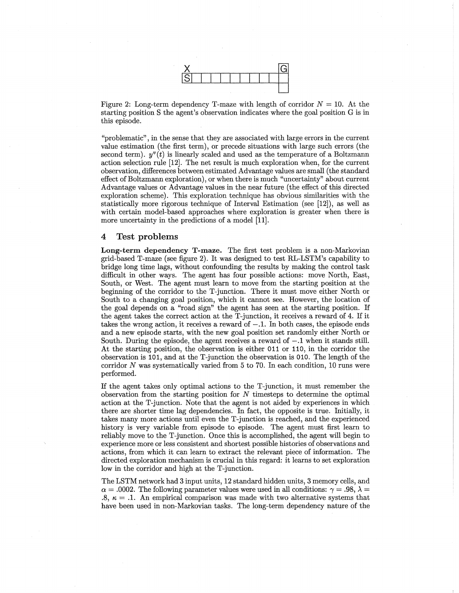

Figure 2: Long-term dependency T-maze with length of corridor  $N = 10$ . At the starting position S the agent's observation indicates where the goal position G is in this episode.

"problematic" , in the sense that they are associated with large errors in the current value estimation (the first term), or precede situations with large such errors (the second term).  $y''(t)$  is linearly scaled and used as the temperature of a Boltzmann action selection rule [12]. The net result is much exploration when, for the current observation, differences between estimated Advantage values are small (the standard effect of Boltzmann exploration), or when there is much "uncertainty" about current Advantage values or Advantage values in the near future (the effect of this directed exploration scheme). This exploration technique has obvious similarities with the statistically more rigorous technique of Interval Estimation (see [12]), as well as with certain model-based approaches where exploration is greater when there is more uncertainty in the predictions of a model [11].

#### 4 Test problems

Long-term dependency T-maze. The first test problem is a non-Markovian grid-based T-maze (see figure 2). It was designed to test RL-LSTM's capability to bridge long time lags, without confounding the results by making the control task difficult in other ways. The agent has four possible actions: move North, East, South, or West. The agent must learn to move from the starting position at the beginning of the corridor to the T-junction. There it must move either North or South to a changing goal position, which it cannot see. However, the location of the goal depends on a "road sign" the agent has seen at the starting position. If the agent takes the correct action at the T-junction, it receives a reward of 4. If it takes the wrong action, it receives a reward of  $-.1$ . In both cases, the episode ends and a new episode starts, with the new goal position set randomly either North or South. During the episode, the agent receives a reward of  $-.1$  when it stands still. At the starting position, the observation is either 011 or 110, in the corridor the observation is 101, and at the T-junction the observation is 010. The length of the corridor  $N$  was systematically varied from 5 to 70. In each condition, 10 runs were performed.

If the agent takes only optimal actions to the T-junction, it must remember the observation from the starting position for  $N$  timesteps to determine the optimal action at the T-junction. Note that the agent is not aided by experiences in which there are shorter time lag dependencies. In fact, the opposite is true. Initially, it takes many more actions until even the T-junction is reached, and the experienced history is very variable from episode to episode. The agent must first learn to reliably move to the T-junction. Once this is accomplished, the agent will begin to experience more or less consistent and shortest possible histories of observations and actions, from which it can learn to extract the relevant piece of information. The directed exploration mechanism is crucial in this regard: it learns to set exploration low in the corridor and high at the T-junction.

The LSTM network had 3 input units, 12 standard hidden units, 3 memory cells, and  $\alpha = .0002$ . The following parameter values were used in all conditions:  $\gamma = .98$ ,  $\lambda =$  $8, \kappa = .1$ . An empirical comparison was made with two alternative systems that have been used in non-Markovian tasks. The long-term dependency nature of the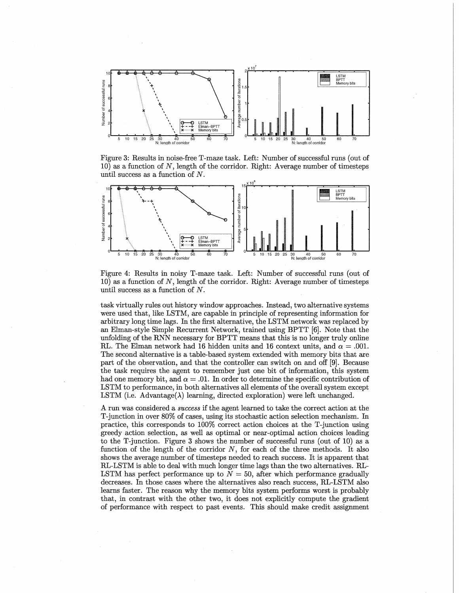

Figure 3: Results in noise-free T-maze task. Left: Number of successful runs (out of 10) as a function of *N,* length of the corridor. Right: Average number of timesteps until success as a function of N.



Figure 4: Results in noisy T-maze task. Left: Number of successful runs (out of 10) as a function of *N,* length of the corridor. Right: Average number of timesteps until success as a function of N.

task virtually rules out history window approaches. Instead, two alternative systems were used that, like LSTM, are capable in principle of representing information for arbitrary long time lags. In the first alternative, the LSTM network was replaced by an Elman-style Simple Recurrent Network, trained using BPTT [6]. Note that the unfolding of the RNN necessary for BPTT means that this is no longer truly online RL. The Elman network had 16 hidden units and 16 context units, and  $\alpha = .001$ . The second alternative is a table-based system extended with memory bits that are part of the observation, and that the controller can switch on and off [9]. Because the task requires the agent to remember just one bit of information, this system had one memory bit, and  $\alpha = 0.01$ . In order to determine the specific contribution of LSTM to performance, in both alternatives all elements of the overall system except LSTM (i.e. Advantage( $\lambda$ ) learning, directed exploration) were left unchanged.

A run was considered a *success* if the agent learned to take the correct action at the T-junction in over 80% of cases, using its stochastic action selection mechanism. In practice, this corresponds to 100% correct action choices at the T-junction using greedy action selection, as well as optimal or near-optimal action choices leading to the T-junction. Figure 3 shows the number of successful runs (out of 10) as a function of the length of the corridor *N,* for each of the three methods. It also shows the average number of timesteps needed to reach success. It is apparent that RL-LSTM is able to deal with much longer time lags than the two alternatives. RL-LSTM has perfect performance up to  $N = 50$ , after which performance gradually decreases. In those cases where the alternatives also reach success, RL-LSTM also learns faster. The reason why the memory bits system performs worst is probably that, in contrast with the other two, it does not explicitly compute the gradient of performance with respect to past events. This should make credit assignment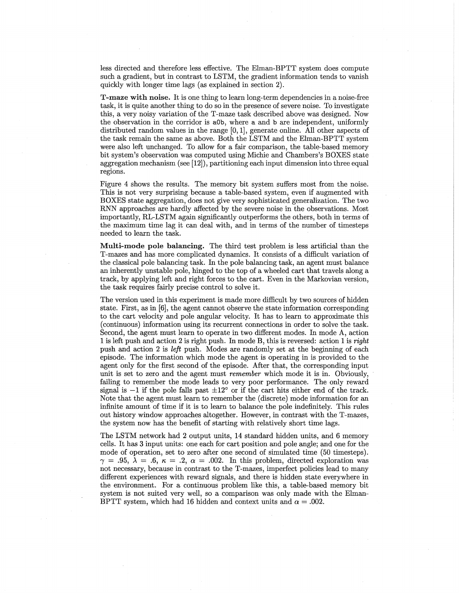less directed and therefore less effective. The Elman-BPTT system does compute such a gradient, but in contrast to LSTM, the gradient information tends to vanish quickly with longer time lags (as explained in section 2).

T-maze with noise. It is one thing to learn long-term dependencies in a noise-free task, it is quite another thing to do so in the presence of severe noise. To investigate this, a very noisy variation of the T-maze task described above was designed. Now the observation in the corridor is aOb, where a and b are independent, uniformly distributed random values in the range [0, 1], generate online. All other aspects of the task remain the same as above. Both the LSTM and the Elman-BPTT system were also left unchanged. To allow for a fair comparison, the table-based memory bit system's observation was computed using Michie and Chambers's BOXES state aggregation mechanism (see [12]), partitioning each input dimension into three equal regions.

Figure 4 shows the results. The memory bit system suffers most from the noise. This is not very surprising because a table-based system, even if augmented with BOXES state aggregation, does not give very sophisticated generalization. The two RNN approaches are hardly affected by the severe noise in the observations. Most importantly, RL-LSTM again significantly outperforms the others, both in terms of the maximum time lag it can deal with, and in terms of the number of timesteps needed to learn the task.

Multi-mode pole balancing. The third test problem is less artificial than the T-mazes and has more complicated dynamics. It consists of a difficult variation of the classical pole balancing task. In the pole balancing task, an agent must balance an inherently unstable pole, hinged to the top of a wheeled cart that travels along a track, by applying left and right forces to the cart. Even in the Markovian version, the task requires fairly precise control to solve it.

The version used in this experiment is made more difficult by two sources of hidden state. First, as in [6], the agent cannot observe the state information corresponding to the cart velocity and pole angular velocity. It has to learn to approximate this (continuous) information using its recurrent connections in order to solve the task. Second, the agent must learn to operate in two different modes. In mode A, action 1 is left push and action 2 is right push. In mode B, this is reversed: action 1 is *right* push and action 2 is *left* push. Modes are randomly set at the beginning of each episode. The information which mode the agent is operating in is provided to the agent only for the first second of the episode. After that, the corresponding input unit is set to zero and the agent must *remember* which mode it is in. Obviously, failing to remember the mode leads to very poor performance. The only reward signal is  $-1$  if the pole falls past  $\pm 12^{\circ}$  or if the cart hits either end of the track. Note that the agent must learn to remember the (discrete) mode information for an infinite amount of time if it is to learn to balance the pole indefinitely. This rules out history window approaches altogether. However, in contrast with the T-mazes, the system now has the benefit of starting with relatively short time lags.

The LSTM network had 2 output units, 14 standard hidden units, and 6 memory cells. It has 3 input units: one each for cart position and pole angle; and one for the mode of operation, set to zero after one second of simulated time (50 timesteps).  $\gamma = .95, \lambda = .6, \kappa = .2, \alpha = .002$ . In this problem, directed exploration was not necessary, because in contrast to the T-mazes, imperfect policies lead to many different experiences with reward signals, and there is hidden state everywhere in the environment. For a continuous problem like this, a table-based memory bit system is not suited very well, so a comparison was only made with the Elman-BPTT system, which had 16 hidden and context units and  $\alpha = .002$ .